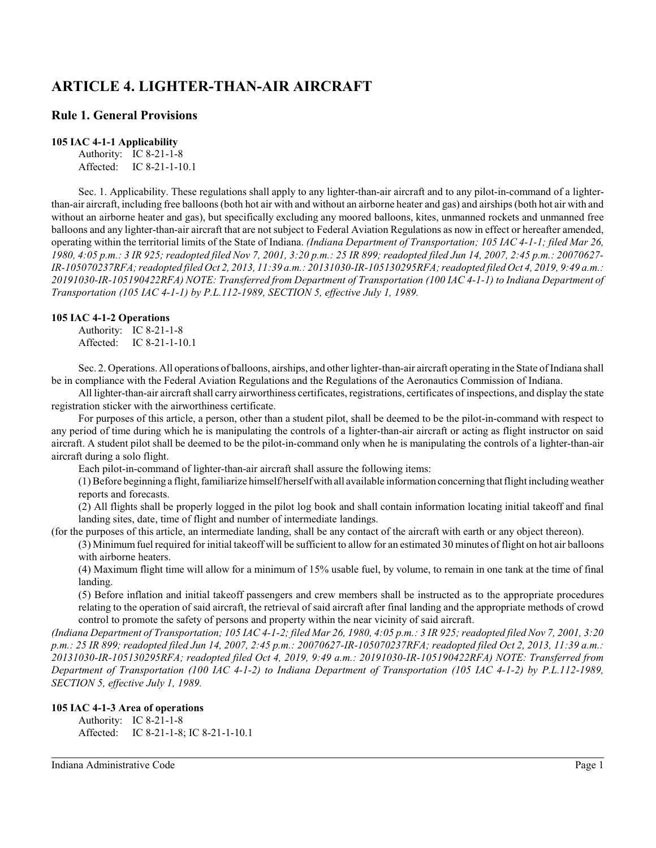# **ARTICLE 4. LIGHTER-THAN-AIR AIRCRAFT**

## **Rule 1. General Provisions**

#### **105 IAC 4-1-1 Applicability**

Authority: IC 8-21-1-8 Affected: IC 8-21-1-10.1

Sec. 1. Applicability. These regulations shall apply to any lighter-than-air aircraft and to any pilot-in-command of a lighterthan-air aircraft, including free balloons (both hot air with and without an airborne heater and gas) and airships (both hot air with and without an airborne heater and gas), but specifically excluding any moored balloons, kites, unmanned rockets and unmanned free balloons and any lighter-than-air aircraft that are not subject to Federal Aviation Regulations as now in effect or hereafter amended, operating within the territorial limits of the State of Indiana. *(Indiana Department of Transportation; 105 IAC 4-1-1; filed Mar 26, 1980, 4:05 p.m.: 3 IR 925; readopted filed Nov 7, 2001, 3:20 p.m.: 25 IR 899; readopted filed Jun 14, 2007, 2:45 p.m.: 20070627- IR-105070237RFA; readopted filed Oct 2, 2013, 11:39 a.m.: 20131030-IR-105130295RFA; readopted filed Oct 4, 2019, 9:49 a.m.: 20191030-IR-105190422RFA) NOTE: Transferred from Department of Transportation (100 IAC 4-1-1) to Indiana Department of Transportation (105 IAC 4-1-1) by P.L.112-1989, SECTION 5, effective July 1, 1989.*

#### **105 IAC 4-1-2 Operations**

Authority: IC 8-21-1-8 Affected: IC 8-21-1-10.1

Sec. 2. Operations. All operations of balloons, airships, and other lighter-than-air aircraft operating in the State of Indiana shall be in compliance with the Federal Aviation Regulations and the Regulations of the Aeronautics Commission of Indiana.

All lighter-than-air aircraft shall carry airworthiness certificates, registrations, certificates of inspections, and display the state registration sticker with the airworthiness certificate.

For purposes of this article, a person, other than a student pilot, shall be deemed to be the pilot-in-command with respect to any period of time during which he is manipulating the controls of a lighter-than-air aircraft or acting as flight instructor on said aircraft. A student pilot shall be deemed to be the pilot-in-command only when he is manipulating the controls of a lighter-than-air aircraft during a solo flight.

Each pilot-in-command of lighter-than-air aircraft shall assure the following items:

(1) Before beginning a flight, familiarize himself/herselfwith all available information concerning that flight including weather reports and forecasts.

(2) All flights shall be properly logged in the pilot log book and shall contain information locating initial takeoff and final landing sites, date, time of flight and number of intermediate landings.

(for the purposes of this article, an intermediate landing, shall be any contact of the aircraft with earth or any object thereon).

(3) Minimumfuel required for initial takeoff will be sufficient to allow for an estimated 30 minutes of flight on hot air balloons with airborne heaters.

(4) Maximum flight time will allow for a minimum of 15% usable fuel, by volume, to remain in one tank at the time of final landing.

(5) Before inflation and initial takeoff passengers and crew members shall be instructed as to the appropriate procedures relating to the operation of said aircraft, the retrieval of said aircraft after final landing and the appropriate methods of crowd control to promote the safety of persons and property within the near vicinity of said aircraft.

*(Indiana Department of Transportation; 105 IAC 4-1-2; filed Mar 26, 1980, 4:05 p.m.: 3 IR 925; readopted filed Nov 7, 2001, 3:20 p.m.: 25 IR 899; readopted filed Jun 14, 2007, 2:45 p.m.: 20070627-IR-105070237RFA; readopted filed Oct 2, 2013, 11:39 a.m.: 20131030-IR-105130295RFA; readopted filed Oct 4, 2019, 9:49 a.m.: 20191030-IR-105190422RFA) NOTE: Transferred from Department of Transportation (100 IAC 4-1-2) to Indiana Department of Transportation (105 IAC 4-1-2) by P.L.112-1989, SECTION 5, effective July 1, 1989.*

#### **105 IAC 4-1-3 Area of operations**

Authority: IC 8-21-1-8 Affected: IC 8-21-1-8; IC 8-21-1-10.1